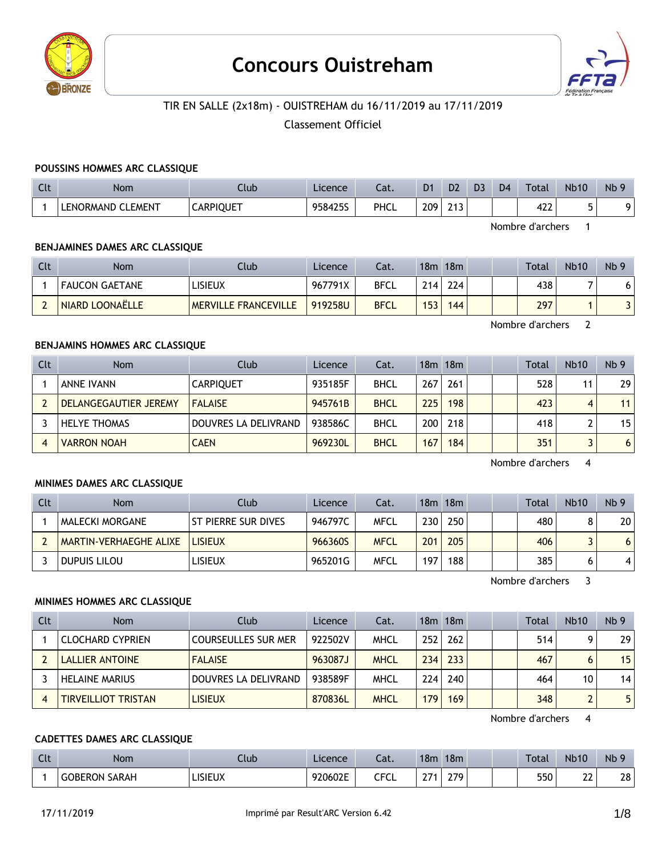

# **Concours Ouistreham**



# TIR EN SALLE (2x18m) - OUISTREHAM du 16/11/2019 au 17/11/2019

Classement Officiel

#### **POUSSINS HOMMES ARC CLASSIQUE**

| $\Gamma$<br>UU | <b>Nom</b>        | Llub             | Licence | Lat. | D <sub>1</sub> | D2                | D3 | D <sub>4</sub> | Total          | <b>Nb10</b> | Nb <sub>9</sub> |
|----------------|-------------------|------------------|---------|------|----------------|-------------------|----|----------------|----------------|-------------|-----------------|
|                | LENORMAND CLEMENT | <b>CARPIQUET</b> | 958425S | PHCL | 209            | <b></b><br>ـ ا ـا |    |                | $\sim$<br>42 Z | -           |                 |

Nombre d'archers 1

#### **BENJAMINES DAMES ARC CLASSIQUE**

| Clt | <b>Nom</b>            | Club                        | Licence | Cat.        | 18m | 18m              |  | <b>Total</b> | <b>Nb10</b> | Nb <sub>9</sub> |
|-----|-----------------------|-----------------------------|---------|-------------|-----|------------------|--|--------------|-------------|-----------------|
|     | <b>FAUCON GAETANE</b> | lisieux                     | 967791X | <b>BFCL</b> | 214 | 224              |  | 438          |             | ו ס             |
|     | NIARD LOONAËLLE       | <b>MERVILLE FRANCEVILLE</b> | 919258U | <b>BFCL</b> | 153 | 144 <sub>1</sub> |  | 297          |             |                 |

Nombre d'archers 2

#### **BENJAMINS HOMMES ARC CLASSIQUE**

| Clt | <b>Nom</b>            | Club                 | Licence | Cat.        |     | 18m 18m |  | Total | <b>Nb10</b> | Nb <sub>9</sub> |
|-----|-----------------------|----------------------|---------|-------------|-----|---------|--|-------|-------------|-----------------|
|     | <b>ANNE IVANN</b>     | <b>CARPIQUET</b>     | 935185F | <b>BHCL</b> | 267 | 261     |  | 528   |             | 29              |
|     | DELANGEGAUTIER JEREMY | <b>FALAISE</b>       | 945761B | <b>BHCL</b> | 225 | 198     |  | 423   |             | 11 <sub>1</sub> |
|     | <b>HELYE THOMAS</b>   | DOUVRES LA DELIVRAND | 938586C | <b>BHCL</b> | 200 | 218     |  | 418   |             | 15              |
| 4   | <b>VARRON NOAH</b>    | <b>CAEN</b>          | 969230L | <b>BHCL</b> | 167 | 184     |  | 351   |             | 6               |

Nombre d'archers 4

#### **MINIMES DAMES ARC CLASSIQUE**

| Clt | <b>Nom</b>                    | Club                | Licence | Cat.        |     | 18m 18m |  | <b>Total</b> | <b>Nb10</b> | Nb <sub>9</sub> |
|-----|-------------------------------|---------------------|---------|-------------|-----|---------|--|--------------|-------------|-----------------|
|     | MALECKI MORGANE               | ST PIERRE SUR DIVES | 946797C | <b>MFCL</b> | 230 | 250     |  | 480          |             | 20              |
|     | <b>MARTIN-VERHAEGHE ALIXE</b> | <b>LISIEUX</b>      | 966360S | <b>MFCL</b> | 201 | 205     |  | 406          |             | 6               |
|     | DUPUIS LILOU                  | <b>LISIEUX</b>      | 965201G | <b>MFCL</b> | 197 | 188     |  | 385          |             | 4               |

Nombre d'archers 3

#### **MINIMES HOMMES ARC CLASSIQUE**

| <b>Clt</b> | <b>Nom</b>                 | Club                       | Licence | Cat.        |                  | 18m 18m |  | Total | <b>Nb10</b> | Nb <sub>9</sub> |
|------------|----------------------------|----------------------------|---------|-------------|------------------|---------|--|-------|-------------|-----------------|
|            | ' CLOCHARD CYPRIEN         | <b>COURSEULLES SUR MER</b> | 922502V | <b>MHCL</b> | 252 <sub>1</sub> | 262     |  | 514   | Q           | 29              |
|            | LALLIER ANTOINE            | <b>FALAISE</b>             | 963087J | <b>MHCL</b> | 234              | 233     |  | 467   | 6           | 15 <sup>1</sup> |
|            | <b>HELAINE MARIUS</b>      | DOUVRES LA DELIVRAND       | 938589F | <b>MHCL</b> | 224              | 240     |  | 464   | 10          | 14              |
|            | <b>TIRVEILLIOT TRISTAN</b> | <b>LISIEUX</b>             | 870836L | <b>MHCL</b> | 179              | 169     |  | 348   |             | 5               |

Nombre d'archers 4

#### **CADETTES DAMES ARC CLASSIQUE**

| $\sim$<br>LIL. | Nom             | Jub     | Licence | $-1$<br>-al.              | 18m | 18 <sub>m</sub> |  | Total | <b>Nb10</b>  | <b>Nb</b><br>. ດ |
|----------------|-----------------|---------|---------|---------------------------|-----|-----------------|--|-------|--------------|------------------|
|                | SARAH<br>∩RFR∩N | LISIEUX | 920602E | $- - -$<br>. .<br>◡└<br>◡ | 77  | חדר<br>- -      |  | 550   | $\sim$<br>∸∸ | 28               |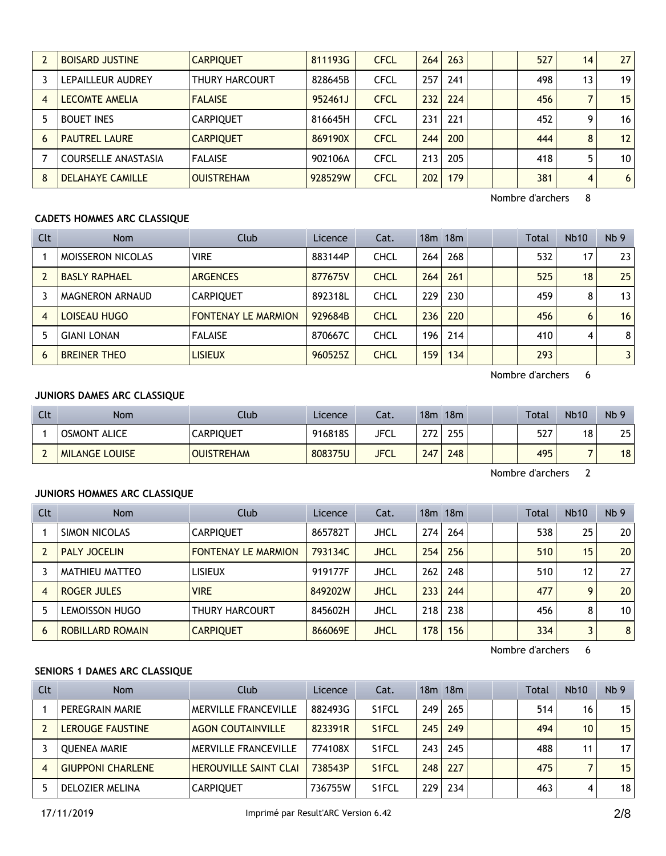|   | <b>BOISARD JUSTINE</b>     | <b>CARPIQUET</b>  | 811193G | <b>CFCL</b> | 264 | 263 |  | 527 | 14 | 27              |
|---|----------------------------|-------------------|---------|-------------|-----|-----|--|-----|----|-----------------|
|   | LEPAILLEUR AUDREY          | THURY HARCOURT    | 828645B | <b>CFCL</b> | 257 | 241 |  | 498 | 13 | 19 <sup>1</sup> |
|   | <b>LECOMTE AMELIA</b>      | <b>FALAISE</b>    | 952461J | <b>CFCL</b> | 232 | 224 |  | 456 |    | 15              |
|   | <b>BOUET INES</b>          | <b>CARPIQUET</b>  | 816645H | <b>CFCL</b> | 231 | 221 |  | 452 | q  | 16              |
| 6 | <b>PAUTREL LAURE</b>       | <b>CARPIQUET</b>  | 869190X | <b>CFCL</b> | 244 | 200 |  | 444 | 8  | 12              |
|   | <b>COURSELLE ANASTASIA</b> | <b>FALAISE</b>    | 902106A | <b>CFCL</b> | 213 | 205 |  | 418 | 5  | 10 <sup>1</sup> |
| 8 | <b>DELAHAYE CAMILLE</b>    | <b>OUISTREHAM</b> | 928529W | <b>CFCL</b> | 202 | 179 |  | 381 | 4  | 6 <sup>1</sup>  |

# **CADETS HOMMES ARC CLASSIQUE**

| Clt | <b>Nom</b>               | Club                       | Licence | Cat.        |     | 18m 18m |  | <b>Total</b> | <b>Nb10</b> | Nb <sub>9</sub> |
|-----|--------------------------|----------------------------|---------|-------------|-----|---------|--|--------------|-------------|-----------------|
|     | <b>MOISSERON NICOLAS</b> | <b>VIRE</b>                | 883144P | <b>CHCL</b> | 264 | 268     |  | 532          | 17          | 23              |
|     | <b>BASLY RAPHAEL</b>     | <b>ARGENCES</b>            | 877675V | <b>CHCL</b> | 264 | 261     |  | 525          | 18          | 25              |
| 3   | <b>MAGNERON ARNAUD</b>   | <b>CARPIOUET</b>           | 892318L | <b>CHCL</b> | 229 | 230     |  | 459          | 8           | 13              |
| 4   | LOISEAU HUGO             | <b>FONTENAY LE MARMION</b> | 929684B | <b>CHCL</b> | 236 | 220     |  | 456          | 6           | 16              |
| 5   | <b>GIANI LONAN</b>       | <b>FALAISE</b>             | 870667C | <b>CHCL</b> | 196 | 214     |  | 410          | 4           | 8               |
| 6   | <b>BREINER THEO</b>      | <b>LISIEUX</b>             | 960525Z | <b>CHCL</b> | 159 | 134     |  | 293          |             | 3               |

Nombre d'archers 6

# **JUNIORS DAMES ARC CLASSIQUE**

| Clt | <b>Nom</b>                    | Club              | Licence | Cat.        | 18m  | 18m |  | <b>Total</b> | <b>Nb10</b> | Nb <sub>9</sub> |
|-----|-------------------------------|-------------------|---------|-------------|------|-----|--|--------------|-------------|-----------------|
|     | <b>OSMONT</b><br><b>ALICE</b> | CARPIQUET         | 916818S | JFCL        | רד ר | 255 |  | 527          | 18          | 25              |
|     | <b>MILANGE LOUISE</b>         | <b>OUISTREHAM</b> | 808375U | <b>JFCL</b> | 247  | 248 |  | 495          |             | 18              |

Nombre d'archers 2

#### **JUNIORS HOMMES ARC CLASSIQUE**

| Clt | Nom                     | Club                       | Licence | Cat.        |     | 18m 18m |  | <b>Total</b> | <b>Nb10</b> | Nb <sub>9</sub> |
|-----|-------------------------|----------------------------|---------|-------------|-----|---------|--|--------------|-------------|-----------------|
|     | SIMON NICOLAS           | <b>CARPIOUET</b>           | 865782T | <b>JHCL</b> | 274 | 264     |  | 538          | 25          | 20 <sup>1</sup> |
|     | <b>PALY JOCELIN</b>     | <b>FONTENAY LE MARMION</b> | 793134C | <b>JHCL</b> | 254 | 256     |  | 510          | 15          | 20              |
|     | MATHIEU MATTEO          | lisieux                    | 919177F | <b>JHCL</b> | 262 | 248     |  | 510          | 12          | 27              |
| 4   | ROGER JULES             | <b>VIRE</b>                | 849202W | <b>JHCL</b> | 233 | 244     |  | 477          | 9           | 20 <sup>1</sup> |
|     | LEMOISSON HUGO          | <b>THURY HARCOURT</b>      | 845602H | <b>JHCL</b> | 218 | 238     |  | 456          | 8           | 10 <sup>1</sup> |
| 6   | <b>ROBILLARD ROMAIN</b> | <b>CARPIQUET</b>           | 866069E | <b>JHCL</b> | 178 | 156     |  | 334          |             | 8 <sup>1</sup>  |

Nombre d'archers 6

# **SENIORS 1 DAMES ARC CLASSIQUE**

| Clt | <b>Nom</b>               | Club                         | Licence | Cat.               |      | 18m 18m |  | Total | <b>Nb10</b> | Nb <sub>9</sub> |
|-----|--------------------------|------------------------------|---------|--------------------|------|---------|--|-------|-------------|-----------------|
|     | PEREGRAIN MARIE          | <b>MERVILLE FRANCEVILLE</b>  | 882493G | S <sub>1</sub> FCL | 249  | 265     |  | 514   | 16          | 15              |
|     | <b>LEROUGE FAUSTINE</b>  | <b>AGON COUTAINVILLE</b>     | 823391R | S <sub>1</sub> FCL | 245  | 249     |  | 494   | 10          | 15              |
|     | <b>OUENEA MARIE</b>      | <b>MERVILLE FRANCEVILLE</b>  | 774108X | S <sub>1</sub> FCL | 2431 | 245     |  | 488   | 11          | 17              |
|     | <b>GIUPPONI CHARLENE</b> | <b>HEROUVILLE SAINT CLAI</b> | 738543P | S <sub>1</sub> FCL | 248  | 227     |  | 475   |             | 15              |
|     | DELOZIER MELINA          | <b>CARPIOUET</b>             | 736755W | S <sub>1</sub> FCL | 229  | 234     |  | 463   | 4           | 18              |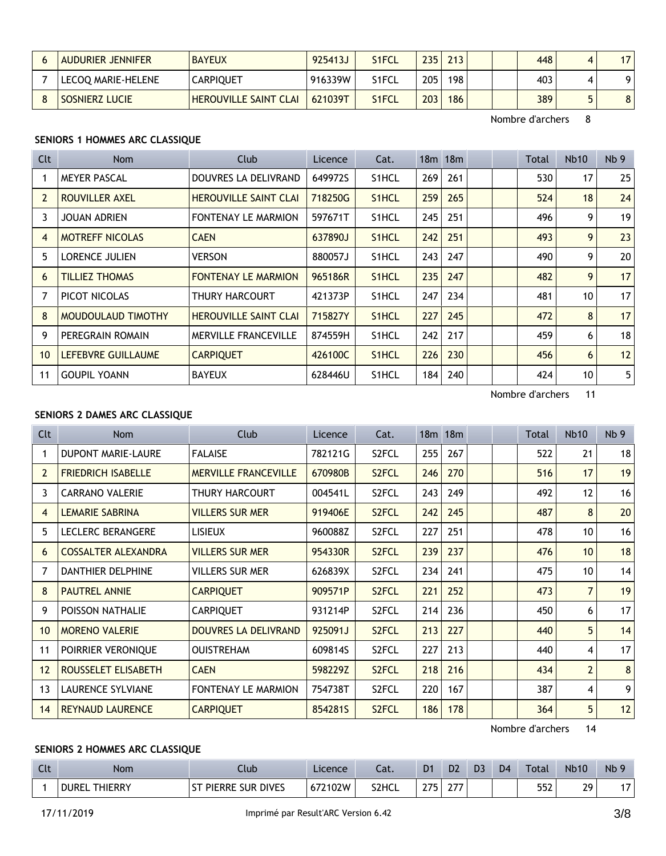| <b>AUDURIER JENNIFER</b> | <b>BAYEUX</b>                | 925413J | S1FCL        | 235 | 213 | 448 | Δ | 17                      |
|--------------------------|------------------------------|---------|--------------|-----|-----|-----|---|-------------------------|
| LECOQ MARIE-HELENE       | <b>CARPIQUET</b>             | 916339W | S1FCL        | 205 | 198 | 403 |   | ۵۱                      |
| SOSNIERZ LUCIE           | <b>HEROUVILLE SAINT CLAI</b> | 621039T | <b>S1FCL</b> | 203 | 186 | 389 |   | $\overline{\mathbf{O}}$ |

#### **SENIORS 1 HOMMES ARC CLASSIQUE**

| <b>Clt</b>     | Nom                    | Club                         | Licence | Cat.               |     | $18m$ 18 $m$ |  | Total | <b>Nb10</b> | Nb <sub>9</sub> |
|----------------|------------------------|------------------------------|---------|--------------------|-----|--------------|--|-------|-------------|-----------------|
| 1              | <b>MEYER PASCAL</b>    | DOUVRES LA DELIVRAND         | 649972S | S <sub>1</sub> HCL | 269 | 261          |  | 530   | 17          | 25              |
| $\overline{2}$ | ROUVILLER AXEL         | <b>HEROUVILLE SAINT CLAI</b> | 718250G | S <sub>1</sub> HCL | 259 | 265          |  | 524   | 18          | 24              |
| 3              | <b>JOUAN ADRIEN</b>    | <b>FONTENAY LE MARMION</b>   | 597671T | S1HCL              | 245 | 251          |  | 496   | 9           | 19              |
| $\overline{4}$ | <b>MOTREFF NICOLAS</b> | <b>CAEN</b>                  | 637890J | S <sub>1</sub> HCL | 242 | 251          |  | 493   | 9           | 23              |
| 5              | <b>LORENCE JULIEN</b>  | <b>VERSON</b>                | 880057J | S <sub>1</sub> HCL | 243 | 247          |  | 490   | 9           | 20              |
| 6              | <b>TILLIEZ THOMAS</b>  | <b>FONTENAY LE MARMION</b>   | 965186R | S1HCL              | 235 | 247          |  | 482   | 9           | 17              |
| 7              | PICOT NICOLAS          | THURY HARCOURT               | 421373P | S <sub>1</sub> HCL | 247 | 234          |  | 481   | 10          | 17              |
| 8              | MOUDOULAUD TIMOTHY     | <b>HEROUVILLE SAINT CLAI</b> | 715827Y | S <sub>1</sub> HCL | 227 | 245          |  | 472   | 8           | 17              |
| 9              | PEREGRAIN ROMAIN       | <b>MERVILLE FRANCEVILLE</b>  | 874559H | S1HCL              | 242 | 217          |  | 459   | 6           | 18              |
| 10             | LEFEBVRE GUILLAUME     | <b>CARPIQUET</b>             | 426100C | S1HCL              | 226 | 230          |  | 456   | 6           | 12              |
| 11             | <b>GOUPIL YOANN</b>    | <b>BAYEUX</b>                | 628446U | S1HCL              | 184 | 240          |  | 424   | 10          | 5               |

Nombre d'archers 11

# **SENIORS 2 DAMES ARC CLASSIQUE**

| <b>Clt</b>     | Nom                        | <b>Club</b>                 | Licence | Cat.               |     | 18 <sub>m</sub> 18 <sub>m</sub> |  | Total | <b>Nb10</b>    | Nb <sub>9</sub> |
|----------------|----------------------------|-----------------------------|---------|--------------------|-----|---------------------------------|--|-------|----------------|-----------------|
|                | <b>DUPONT MARIE-LAURE</b>  | <b>FALAISE</b>              | 782121G | S <sub>2</sub> FCL | 255 | 267                             |  | 522   | 21             | 18              |
| $\overline{2}$ | <b>FRIEDRICH ISABELLE</b>  | <b>MERVILLE FRANCEVILLE</b> | 670980B | S2FCL              | 246 | 270                             |  | 516   | 17             | 19              |
| 3              | <b>CARRANO VALERIE</b>     | THURY HARCOURT              | 004541L | S <sub>2</sub> FCL | 243 | 249                             |  | 492   | 12             | 16              |
| 4              | <b>LEMARIE SABRINA</b>     | <b>VILLERS SUR MER</b>      | 919406E | S <sub>2</sub> FCL | 242 | 245                             |  | 487   | 8              | 20              |
| 5              | <b>LECLERC BERANGERE</b>   | <b>LISIEUX</b>              | 960088Z | S <sub>2</sub> FCL | 227 | 251                             |  | 478   | 10             | 16              |
| 6              | <b>COSSALTER ALEXANDRA</b> | <b>VILLERS SUR MER</b>      | 954330R | S <sub>2</sub> FCL | 239 | 237                             |  | 476   | 10             | 18              |
| $\overline{7}$ | <b>DANTHIER DELPHINE</b>   | <b>VILLERS SUR MER</b>      | 626839X | S <sub>2</sub> FCL | 234 | 241                             |  | 475   | 10             | 14              |
| 8              | <b>PAUTREL ANNIE</b>       | <b>CARPIQUET</b>            | 909571P | S <sub>2</sub> FCL | 221 | 252                             |  | 473   | $\overline{7}$ | 19              |
| 9              | POISSON NATHALIE           | <b>CARPIQUET</b>            | 931214P | S2FCL              | 214 | 236                             |  | 450   | 6              | 17              |
| 10             | <b>MORENO VALERIE</b>      | DOUVRES LA DELIVRAND        | 925091J | S <sub>2</sub> FCL | 213 | 227                             |  | 440   | 5              | 14              |
| 11             | POIRRIER VERONIOUE         | <b>OUISTREHAM</b>           | 609814S | S <sub>2</sub> FCL | 227 | 213                             |  | 440   | 4              | 17              |
| 12             | ROUSSELET ELISABETH        | <b>CAEN</b>                 | 598229Z | S2FCL              | 218 | 216                             |  | 434   | $\overline{2}$ | 8               |
| 13             | <b>LAURENCE SYLVIANE</b>   | <b>FONTENAY LE MARMION</b>  | 754738T | S <sub>2</sub> FCL | 220 | 167                             |  | 387   | 4              | 9               |
| 14             | <b>REYNAUD LAURENCE</b>    | <b>CARPIQUET</b>            | 8542815 | S <sub>2</sub> FCL | 186 | 178                             |  | 364   | 5              | 12              |

Nombre d'archers 14

#### **SENIORS 2 HOMMES ARC CLASSIQUE**

| Clt | Nom                            | Club                                              | Licence        | $-1$<br>cal. | D <sub>1</sub> | D <sub>2</sub>                          | D3 | D <sub>4</sub> | Total      | <b>Nb10</b> | Nb<br>۰۵                 |
|-----|--------------------------------|---------------------------------------------------|----------------|--------------|----------------|-----------------------------------------|----|----------------|------------|-------------|--------------------------|
|     | <b>THIERRY</b><br><b>DUREL</b> | <b>DIVES</b><br><b>PIERRE</b><br>--<br><b>SUR</b> | <b>S72102W</b> | S2HCL        | 275            | $\sim$ $\rightarrow$ $\sim$<br><u>_</u> |    |                | ちらつ<br>υJΣ | າດ<br>. .   | $\overline{\phantom{a}}$ |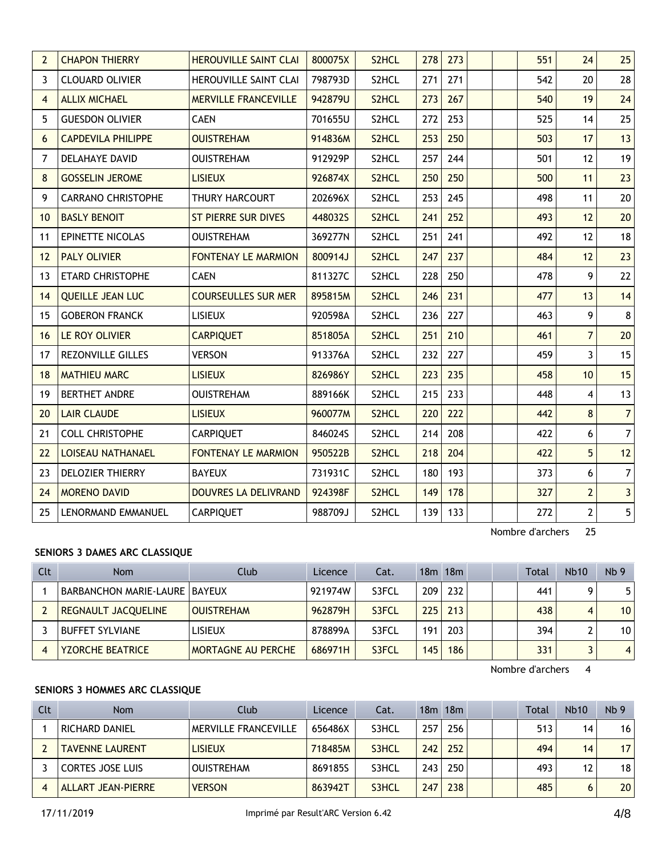| $\overline{2}$ | <b>CHAPON THIERRY</b>     | <b>HEROUVILLE SAINT CLAI</b> | 800075X | S <sub>2</sub> HCL | 278 | 273 |  | 551 | 24             | 25             |
|----------------|---------------------------|------------------------------|---------|--------------------|-----|-----|--|-----|----------------|----------------|
| 3              | <b>CLOUARD OLIVIER</b>    | HEROUVILLE SAINT CLAI        | 798793D | S2HCL              | 271 | 271 |  | 542 | 20             | 28             |
| $\overline{4}$ | <b>ALLIX MICHAEL</b>      | <b>MERVILLE FRANCEVILLE</b>  | 942879U | S2HCL              | 273 | 267 |  | 540 | 19             | 24             |
| 5              | <b>GUESDON OLIVIER</b>    | <b>CAEN</b>                  | 701655U | S2HCL              | 272 | 253 |  | 525 | 14             | 25             |
| 6              | <b>CAPDEVILA PHILIPPE</b> | <b>OUISTREHAM</b>            | 914836M | S2HCL              | 253 | 250 |  | 503 | 17             | 13             |
| 7              | DELAHAYE DAVID            | <b>OUISTREHAM</b>            | 912929P | S2HCL              | 257 | 244 |  | 501 | 12             | 19             |
| 8              | <b>GOSSELIN JEROME</b>    | <b>LISIEUX</b>               | 926874X | S2HCL              | 250 | 250 |  | 500 | 11             | 23             |
| 9              | <b>CARRANO CHRISTOPHE</b> | THURY HARCOURT               | 202696X | S2HCL              | 253 | 245 |  | 498 | 11             | 20             |
| 10             | <b>BASLY BENOIT</b>       | <b>ST PIERRE SUR DIVES</b>   | 448032S | S2HCL              | 241 | 252 |  | 493 | 12             | 20             |
| 11             | EPINETTE NICOLAS          | <b>OUISTREHAM</b>            | 369277N | S2HCL              | 251 | 241 |  | 492 | 12             | 18             |
| 12             | <b>PALY OLIVIER</b>       | <b>FONTENAY LE MARMION</b>   | 800914J | S2HCL              | 247 | 237 |  | 484 | 12             | 23             |
| 13             | ETARD CHRISTOPHE          | <b>CAEN</b>                  | 811327C | S2HCL              | 228 | 250 |  | 478 | 9              | 22             |
| 14             | <b>QUEILLE JEAN LUC</b>   | <b>COURSEULLES SUR MER</b>   | 895815M | S2HCL              | 246 | 231 |  | 477 | 13             | 14             |
| 15             | <b>GOBERON FRANCK</b>     | <b>LISIEUX</b>               | 920598A | S2HCL              | 236 | 227 |  | 463 | 9              | 8              |
| 16             | LE ROY OLIVIER            | <b>CARPIQUET</b>             | 851805A | S2HCL              | 251 | 210 |  | 461 | $\overline{7}$ | 20             |
| 17             | <b>REZONVILLE GILLES</b>  | <b>VERSON</b>                | 913376A | S2HCL              | 232 | 227 |  | 459 | $\overline{3}$ | 15             |
| 18             | <b>MATHIEU MARC</b>       | <b>LISIEUX</b>               | 826986Y | S2HCL              | 223 | 235 |  | 458 | 10             | 15             |
| 19             | <b>BERTHET ANDRE</b>      | <b>OUISTREHAM</b>            | 889166K | S2HCL              | 215 | 233 |  | 448 | $\overline{4}$ | 13             |
| 20             | <b>LAIR CLAUDE</b>        | <b>LISIEUX</b>               | 960077M | S2HCL              | 220 | 222 |  | 442 | 8              | 7              |
| 21             | <b>COLL CHRISTOPHE</b>    | <b>CARPIQUET</b>             | 846024S | S2HCL              | 214 | 208 |  | 422 | 6              | $7\vert$       |
| 22             | <b>LOISEAU NATHANAEL</b>  | <b>FONTENAY LE MARMION</b>   | 950522B | S2HCL              | 218 | 204 |  | 422 | 5              | 12             |
| 23             | DELOZIER THIERRY          | <b>BAYEUX</b>                | 731931C | S2HCL              | 180 | 193 |  | 373 | 6              | 7 <sup>1</sup> |
| 24             | <b>MORENO DAVID</b>       | DOUVRES LA DELIVRAND         | 924398F | S2HCL              | 149 | 178 |  | 327 | $\overline{2}$ | $\overline{3}$ |
| 25             | LENORMAND EMMANUEL        | <b>CARPIQUET</b>             | 988709J | S2HCL              | 139 | 133 |  | 272 | $\overline{2}$ | $\overline{5}$ |

## **SENIORS 3 DAMES ARC CLASSIQUE**

| Clt | <b>Nom</b>                      | Club                      | Licence | Cat.  |     | 18m 18m |  | Total | <b>Nb10</b> | Nb <sub>9</sub> |
|-----|---------------------------------|---------------------------|---------|-------|-----|---------|--|-------|-------------|-----------------|
|     | BARBANCHON MARIE-LAURE   BAYEUX |                           | 921974W | S3FCL | 209 | 232     |  | 441   |             | 5.              |
|     | REGNAULT JACQUELINE             | <b>OUISTREHAM</b>         | 962879H | S3FCL | 225 | 213     |  | 438   | 4           | 10 <sup>°</sup> |
|     | <b>BUFFET SYLVIANE</b>          | lisieux                   | 878899A | S3FCL | 191 | 203     |  | 394   |             | 10              |
|     | <b>YZORCHE BEATRICE</b>         | <b>MORTAGNE AU PERCHE</b> | 686971H | S3FCL | 145 | 186     |  | 331   |             | $\overline{4}$  |

Nombre d'archers 4

## **SENIORS 3 HOMMES ARC CLASSIQUE**

| Clt | <b>Nom</b>              | Club                        | Licence | Cat.  |      | $18m$ 18 $m$ |  | Total | <b>Nb10</b> | Nb <sub>9</sub> |
|-----|-------------------------|-----------------------------|---------|-------|------|--------------|--|-------|-------------|-----------------|
|     | RICHARD DANIEL          | <b>MERVILLE FRANCEVILLE</b> | 656486X | S3HCL | 257  | 256          |  | 513   | 14          | 16              |
|     | <b>TAVENNE LAURENT</b>  | <b>LISIEUX</b>              | 718485M | S3HCL | 242  | 252          |  | 494   | 14          | 17              |
|     | <b>CORTES JOSE LUIS</b> | <b>OUISTREHAM</b>           | 8691855 | S3HCL | 243. | 250          |  | 493   | 12          | 18              |
|     | ALLART JEAN-PIERRE      | <b>VERSON</b>               | 863942T | S3HCL | 247  | 238          |  | 485   |             | 20              |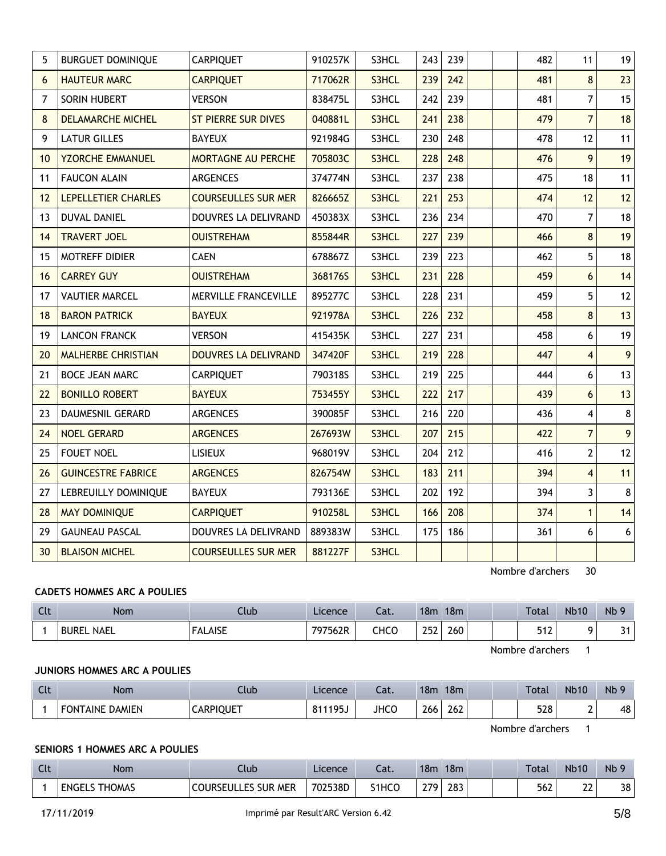| 5  | <b>BURGUET DOMINIQUE</b>  | CARPIQUET                   | 910257K | S3HCL | 243 | 239 |  | 482 | 11             | 19 |
|----|---------------------------|-----------------------------|---------|-------|-----|-----|--|-----|----------------|----|
| 6  | <b>HAUTEUR MARC</b>       | <b>CARPIQUET</b>            | 717062R | S3HCL | 239 | 242 |  | 481 | 8              | 23 |
| 7  | SORIN HUBERT              | <b>VERSON</b>               | 838475L | S3HCL | 242 | 239 |  | 481 | 7              | 15 |
| 8  | <b>DELAMARCHE MICHEL</b>  | <b>ST PIERRE SUR DIVES</b>  | 040881L | S3HCL | 241 | 238 |  | 479 | $\overline{7}$ | 18 |
| 9  | <b>LATUR GILLES</b>       | <b>BAYEUX</b>               | 921984G | S3HCL | 230 | 248 |  | 478 | 12             | 11 |
| 10 | <b>YZORCHE EMMANUEL</b>   | <b>MORTAGNE AU PERCHE</b>   | 705803C | S3HCL | 228 | 248 |  | 476 | 9              | 19 |
| 11 | <b>FAUCON ALAIN</b>       | ARGENCES                    | 374774N | S3HCL | 237 | 238 |  | 475 | 18             | 11 |
| 12 | LEPELLETIER CHARLES       | <b>COURSEULLES SUR MER</b>  | 826665Z | S3HCL | 221 | 253 |  | 474 | 12             | 12 |
| 13 | <b>DUVAL DANIEL</b>       | <b>DOUVRES LA DELIVRAND</b> | 450383X | S3HCL | 236 | 234 |  | 470 | 7              | 18 |
| 14 | <b>TRAVERT JOEL</b>       | <b>OUISTREHAM</b>           | 855844R | S3HCL | 227 | 239 |  | 466 | 8              | 19 |
| 15 | MOTREFF DIDIER            | <b>CAEN</b>                 | 678867Z | S3HCL | 239 | 223 |  | 462 | 5              | 18 |
| 16 | <b>CARREY GUY</b>         | <b>OUISTREHAM</b>           | 368176S | S3HCL | 231 | 228 |  | 459 | 6              | 14 |
| 17 | <b>VAUTIER MARCEL</b>     | MERVILLE FRANCEVILLE        | 895277C | S3HCL | 228 | 231 |  | 459 | 5              | 12 |
| 18 | <b>BARON PATRICK</b>      | <b>BAYEUX</b>               | 921978A | S3HCL | 226 | 232 |  | 458 | 8              | 13 |
| 19 | <b>LANCON FRANCK</b>      | <b>VERSON</b>               | 415435K | S3HCL | 227 | 231 |  | 458 | 6              | 19 |
| 20 | <b>MALHERBE CHRISTIAN</b> | DOUVRES LA DELIVRAND        | 347420F | S3HCL | 219 | 228 |  | 447 | $\overline{4}$ | 9  |
| 21 | <b>BOCE JEAN MARC</b>     | <b>CARPIQUET</b>            | 790318S | S3HCL | 219 | 225 |  | 444 | 6              | 13 |
| 22 | <b>BONILLO ROBERT</b>     | <b>BAYEUX</b>               | 753455Y | S3HCL | 222 | 217 |  | 439 | 6              | 13 |
| 23 | DAUMESNIL GERARD          | ARGENCES                    | 390085F | S3HCL | 216 | 220 |  | 436 | 4              | 8  |
| 24 | <b>NOEL GERARD</b>        | <b>ARGENCES</b>             | 267693W | S3HCL | 207 | 215 |  | 422 | $\overline{7}$ | 9  |
| 25 | <b>FOUET NOEL</b>         | <b>LISIEUX</b>              | 968019V | S3HCL | 204 | 212 |  | 416 | $\overline{2}$ | 12 |
| 26 | <b>GUINCESTRE FABRICE</b> | <b>ARGENCES</b>             | 826754W | S3HCL | 183 | 211 |  | 394 | $\overline{4}$ | 11 |
| 27 | LEBREUILLY DOMINIQUE      | <b>BAYEUX</b>               | 793136E | S3HCL | 202 | 192 |  | 394 | 3              | 8  |
| 28 | <b>MAY DOMINIQUE</b>      | <b>CARPIQUET</b>            | 910258L | S3HCL | 166 | 208 |  | 374 | $\mathbf{1}$   | 14 |
| 29 | <b>GAUNEAU PASCAL</b>     | DOUVRES LA DELIVRAND        | 889383W | S3HCL | 175 | 186 |  | 361 | 6              | 6  |
| 30 | <b>BLAISON MICHEL</b>     | <b>COURSEULLES SUR MER</b>  | 881227F | S3HCL |     |     |  |     |                |    |

# **CADETS HOMMES ARC A POULIES**

| Clt | <b>Nom</b>                  | Club           | Licence | ำร<br>cal. | 18 <sub>m</sub> | 18 <sub>m</sub> |  | Total             | <b>Nb10</b> | N <sub>b</sub> 9    |
|-----|-----------------------------|----------------|---------|------------|-----------------|-----------------|--|-------------------|-------------|---------------------|
|     | <b>NAEL</b><br><b>BUREL</b> | <b>FALAISE</b> | 797562R | снсо       | 252             | 260             |  | <b>E40</b><br>∡וכ |             | $\mathbf{a}$<br>ا ب |

Nombre d'archers 1

## **JUNIORS HOMMES ARC A POULIES**

| $\sim$<br>ut | Nom                    | Jlub             | Licence            | $\sim$<br>cal. | 18n. | 18 <sub>m</sub> |  | Total | <b>Nb10</b> | Nb |
|--------------|------------------------|------------------|--------------------|----------------|------|-----------------|--|-------|-------------|----|
|              | <b>FONTAINE DAMIEN</b> | <b>CARPIOUET</b> | د195'<br>011<br>OΙ | <b>JHCO</b>    | 266  | $\sim$<br>262   |  | 528   |             | 48 |

Nombre d'archers 1

# **SENIORS 1 HOMMES ARC A POULIES**

| $\Gamma$<br>u | <b>Nom</b>                     | Club                       | Licence | ۰¬۱<br>-al. | 18 <sub>m</sub> | 18m |  | <b>Total</b> | <b>Nb10</b> | N <sub>b</sub> 9 |
|---------------|--------------------------------|----------------------------|---------|-------------|-----------------|-----|--|--------------|-------------|------------------|
|               | <b>THOMAS</b><br><b>ENGELS</b> | <b>COURSEULLES SUR MER</b> | 702538D | S1HCO       | 270             | 283 |  | 562          | າາ<br>∸∸    | 38               |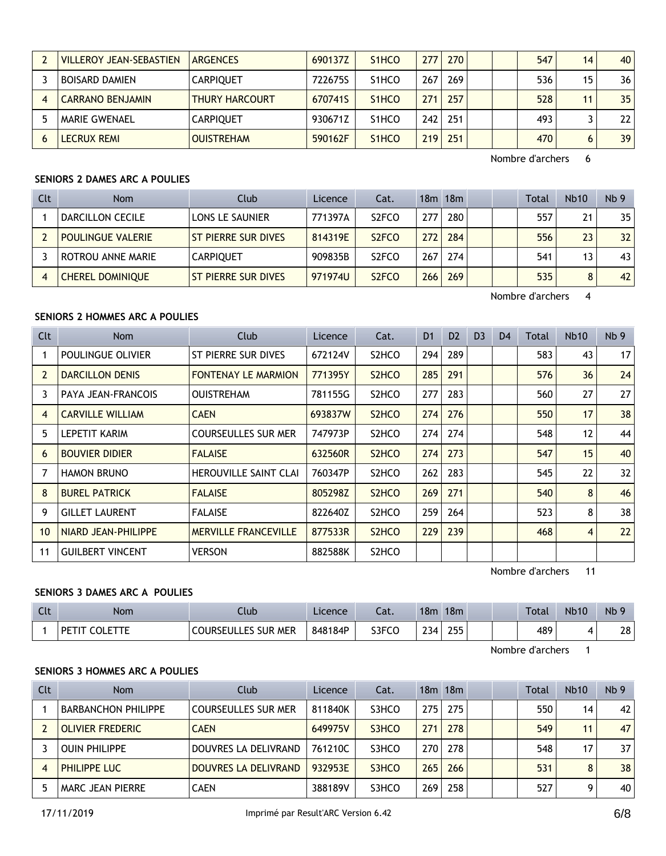| <b>VILLEROY JEAN-SEBASTIEN</b> | <b>ARGENCES</b>       | 690137Z | S <sub>1</sub> H <sub>CO</sub>  | 277   | 270 |  | 547 | 14 | 40   |
|--------------------------------|-----------------------|---------|---------------------------------|-------|-----|--|-----|----|------|
| <b>BOISARD DAMIEN</b>          | <b>CARPIQUET</b>      | 722675S | S <sub>1</sub> HCO              | 267   | 269 |  | 536 | 15 | 36 I |
| <b>CARRANO BENJAMIN</b>        | <b>THURY HARCOURT</b> | 670741S | S <sub>1</sub> H <sub>CO</sub>  | 271   | 257 |  | 528 | 11 | 35   |
| MARIE GWENAEL                  | <b>CARPIOUET</b>      | 930671Z | S <sub>1</sub> HCO              | 242 I | 251 |  | 493 |    | 221  |
| <b>LECRUX REMI</b>             | <b>OUISTREHAM</b>     | 590162F | S <sub>1</sub> H <sub>C</sub> O | 219   | 251 |  | 470 | 6  | 39   |

# **SENIORS 2 DAMES ARC A POULIES**

| Clt | <b>Nom</b>               | Club                | Licence | Cat.                           | 18m | 18m |  | Total | <b>Nb10</b> | Nb <sub>9</sub> |
|-----|--------------------------|---------------------|---------|--------------------------------|-----|-----|--|-------|-------------|-----------------|
|     | DARCILLON CECILE         | LONS LE SAUNIER     | 771397A | S <sub>2</sub> FCO             | 277 | 280 |  | 557   | 21          | 35              |
|     | <b>POULINGUE VALERIE</b> | ST PIERRE SUR DIVES | 814319E | S <sub>2</sub> F <sub>CO</sub> | 272 | 284 |  | 556   | 23          | 32 <sup>2</sup> |
|     | ROTROU ANNE MARIE        | <b>CARPIOUET</b>    | 909835B | S <sub>2</sub> FCO             | 267 | 274 |  | 541   | 13          | 43              |
|     | <b>CHEREL DOMINIQUE</b>  | ST PIERRE SUR DIVES | 971974U | S <sub>2</sub> FCO             | 266 | 269 |  | 535   | 8           | 42              |

Nombre d'archers 4

## **SENIORS 2 HOMMES ARC A POULIES**

| Clt            | Nom                     | Club                         | Licence | Cat.                           | D <sub>1</sub> | D <sub>2</sub> | D <sub>3</sub> | D <sub>4</sub> | Total | <b>Nb10</b>       | Nb <sub>9</sub> |
|----------------|-------------------------|------------------------------|---------|--------------------------------|----------------|----------------|----------------|----------------|-------|-------------------|-----------------|
|                | POULINGUE OLIVIER       | ST PIERRE SUR DIVES          | 672124V | S <sub>2</sub> HCO             | 294            | 289            |                |                | 583   | 43                | 17 <sup>2</sup> |
| $\overline{2}$ | <b>DARCILLON DENIS</b>  | <b>FONTENAY LE MARMION</b>   | 771395Y | S <sub>2</sub> H <sub>CO</sub> | 285            | 291            |                |                | 576   | 36                | 24              |
| 3              | PAYA JEAN-FRANCOIS      | <b>OUISTREHAM</b>            | 781155G | S2HCO                          | 277            | 283            |                |                | 560   | 27                | 27              |
| $\overline{4}$ | <b>CARVILLE WILLIAM</b> | <b>CAEN</b>                  | 693837W | S <sub>2</sub> HCO             | 274            | 276            |                |                | 550   | 17                | 38              |
| 5              | LEPETIT KARIM           | <b>COURSEULLES SUR MER</b>   | 747973P | S <sub>2</sub> HC <sub>O</sub> | 274            | 274            |                |                | 548   | $12 \overline{ }$ | 44              |
| 6              | <b>BOUVIER DIDIER</b>   | <b>FALAISE</b>               | 632560R | S <sub>2</sub> HC <sub>O</sub> | 274            | 273            |                |                | 547   | 15                | 40              |
| 7              | <b>HAMON BRUNO</b>      | <b>HEROUVILLE SAINT CLAI</b> | 760347P | S <sub>2</sub> HCO             | 262            | 283            |                |                | 545   | 22                | 32              |
| 8              | <b>BUREL PATRICK</b>    | <b>FALAISE</b>               | 805298Z | S <sub>2</sub> HCO             | 269            | 271            |                |                | 540   | 8                 | 46              |
| 9              | <b>GILLET LAURENT</b>   | <b>FALAISE</b>               | 822640Z | S <sub>2</sub> HCO             | 259            | 264            |                |                | 523   | 8                 | 38              |
| 10             | NIARD JEAN-PHILIPPE     | <b>MERVILLE FRANCEVILLE</b>  | 877533R | S <sub>2</sub> HCO             | 229            | 239            |                |                | 468   | 4                 | 22              |
| 11             | <b>GUILBERT VINCENT</b> | <b>VERSON</b>                | 882588K | S2HCO                          |                |                |                |                |       |                   |                 |

Nombre d'archers 11

## **SENIORS 3 DAMES ARC A POULIES**

| Clt | <b>Nom</b>               | Llub.                           | Licence | Cat.  | 18 <sub>m</sub> | 18 <sub>m</sub> |  | Total | <b>Nb10</b> | Nb |
|-----|--------------------------|---------------------------------|---------|-------|-----------------|-----------------|--|-------|-------------|----|
|     | COI FTTF<br><b>DETIT</b> | . MER<br><b>COURSEULLES SUR</b> | 848184P | S3FCO | 22.4<br>' 4ک∠   | 255             |  | 489   |             | 28 |

Nombre d'archers 1

# **SENIORS 3 HOMMES ARC A POULIES**

| Clt | <b>Nom</b>                 | Club                       | Licence | Cat.  |     | 18m 18m |  | Total | <b>Nb10</b> | Nb <sub>9</sub> |
|-----|----------------------------|----------------------------|---------|-------|-----|---------|--|-------|-------------|-----------------|
|     | <b>BARBANCHON PHILIPPE</b> | <b>COURSEULLES SUR MER</b> | 811840K | S3HCO | 275 | 275     |  | 550   | 14          | 42              |
|     | <b>OLIVIER FREDERIC</b>    | <b>CAEN</b>                | 649975V | S3HCO | 271 | 278     |  | 549   | 11          | 47              |
|     | <b>OUIN PHILIPPE</b>       | DOUVRES LA DELIVRAND       | 761210C | S3HCO | 270 | 278     |  | 548   | 17          | 37              |
|     | <b>PHILIPPE LUC</b>        | DOUVRES LA DELIVRAND       | 932953E | S3HCO | 265 | 266     |  | 531   | 8           | 38              |
|     | MARC JEAN PIERRE           | <b>CAEN</b>                | 388189V | S3HCO | 269 | 258     |  | 527   | Q           | 40              |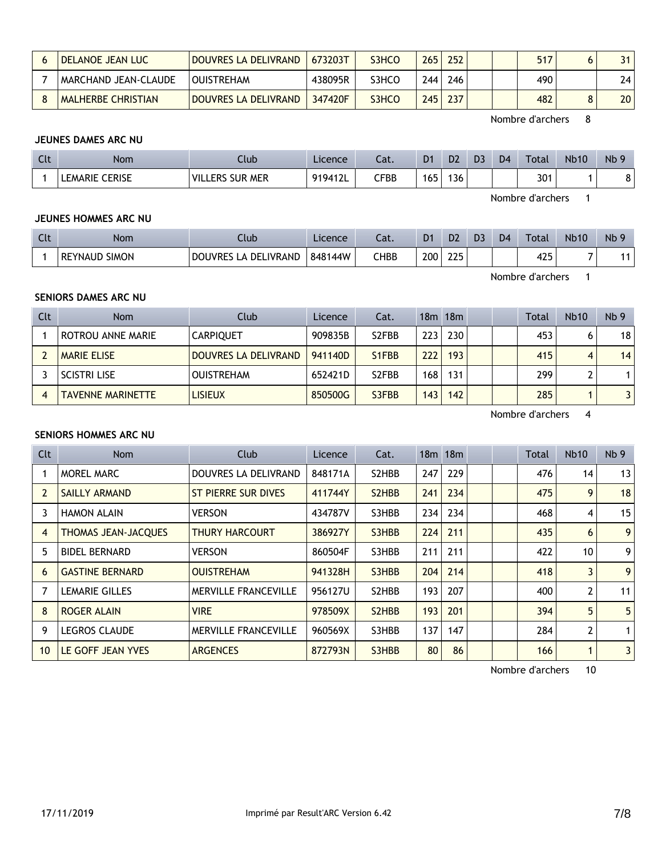| <b>I DELANOE JEAN LUC</b> | <b>DOUVRES LA DELIVRAND</b> | 673203T | S3HCO | 265 | 252 | 517 |                 |
|---------------------------|-----------------------------|---------|-------|-----|-----|-----|-----------------|
| MARCHAND JEAN-CLAUDE      | I OUISTREHAM                | 438095R | S3HCO | 244 | 246 | 490 | 24              |
| MALHERBE CHRISTIAN        | DOUVRES LA DELIVRAND        | 347420F | S3HCO | 245 | 237 | 482 | 20 <sub>1</sub> |

#### **JEUNES DAMES ARC NU**

| $\sim$<br>นเ | <b>Nom</b>                      | Club                                        | Licence | $\sim$<br>cal. | D <sub>1</sub> | D <sub>2</sub> | D <sub>3</sub> | D <sub>4</sub> | Total | <b>Nb10</b> | N <sub>b</sub> 9 |
|--------------|---------------------------------|---------------------------------------------|---------|----------------|----------------|----------------|----------------|----------------|-------|-------------|------------------|
|              | <b>CERISE</b><br><b>LEMARIE</b> | " VILL.<br><b>SUR</b><br>.ERS<br><b>MER</b> | 919412L | CFBB           | 165            | 36             |                |                | 301   |             |                  |

Nombre d'archers 1

## **JEUNES HOMMES ARC NU**

| $\sim$<br>$\overline{\phantom{a}}$ | Non.                                  | Ilub                               | Licence | $\sim$<br>cal. | D <sub>1</sub> | D <sub>2</sub> | D <sub>3</sub> | D <sub>4</sub> | Total | <b>Nb10</b> | Nb <sub>9</sub> |
|------------------------------------|---------------------------------------|------------------------------------|---------|----------------|----------------|----------------|----------------|----------------|-------|-------------|-----------------|
|                                    | <b>SIMON</b><br><b>REYNAUD</b><br>вΕ. | DELIVRAND<br><b>DOUVRES</b><br>. A | 848144W | <b>CHBB</b>    | 200            | 225            |                |                | 425   | $\sim$      | 44              |

Nombre d'archers 1

## **SENIORS DAMES ARC NU**

| Clt | <b>Nom</b>               | Club                 | Licence | Cat.               |                  | 18m 18m |  | Total | <b>Nb10</b> | Nb <sub>9</sub> |
|-----|--------------------------|----------------------|---------|--------------------|------------------|---------|--|-------|-------------|-----------------|
|     | ROTROU ANNE MARIE        | <b>CARPIOUET</b>     | 909835B | S <sub>2</sub> FBB | 223              | 230     |  | 453   |             | 18              |
|     | <b>MARIE ELISE</b>       | DOUVRES LA DELIVRAND | 941140D | S1FBB              | 222              | 193     |  | 415   | 4           | 14              |
|     | <b>SCISTRI LISE</b>      | <b>OUISTREHAM</b>    | 652421D | S <sub>2</sub> FBB | 168 <sub>1</sub> | 131     |  | 299   |             |                 |
| 4   | <b>TAVENNE MARINETTE</b> | <b>LISIEUX</b>       | 850500G | S3FBB              | 143 <sub>1</sub> | 142     |  | 285   |             |                 |

Nombre d'archers 4

#### **SENIORS HOMMES ARC NU**

| Clt | <b>Nom</b>                 | Club                        | <b>Licence</b> | Cat.                            |     | $18m$ 18 $m$ |  | Total | <b>Nb10</b>      | Nb <sub>9</sub> |
|-----|----------------------------|-----------------------------|----------------|---------------------------------|-----|--------------|--|-------|------------------|-----------------|
|     | MOREL MARC                 | DOUVRES LA DELIVRAND        | 848171A        | S2HBB                           | 247 | 229          |  | 476   | 14               | 13              |
| 2   | SAILLY ARMAND              | <b>ST PIERRE SUR DIVES</b>  | 411744Y        | S <sub>2</sub> H <sub>B</sub> B | 241 | 234          |  | 475   | 9                | 18              |
| 3   | <b>HAMON ALAIN</b>         | <b>VERSON</b>               | 434787V        | S3HBB                           | 234 | 234          |  | 468   | 4                | 15              |
| 4   | <b>THOMAS JEAN-JACQUES</b> | <b>THURY HARCOURT</b>       | 386927Y        | S3HBB                           | 224 | 211          |  | 435   | 6                | 9               |
| 5   | <b>BIDEL BERNARD</b>       | <b>VERSON</b>               | 860504F        | S3HBB                           | 211 | 211          |  | 422   | 10 <sup>10</sup> | 9               |
| 6   | <b>GASTINE BERNARD</b>     | <b>OUISTREHAM</b>           | 941328H        | S3HBB                           | 204 | 214          |  | 418   | 3                | 9               |
|     | LEMARIE GILLES             | <b>MERVILLE FRANCEVILLE</b> | 956127U        | S2HBB                           | 193 | 207          |  | 400   | 2                | 11              |
| 8   | <b>ROGER ALAIN</b>         | <b>VIRE</b>                 | 978509X        | S <sub>2</sub> H <sub>B</sub> B | 193 | 201          |  | 394   | 5                | 5               |
| 9   | <b>LEGROS CLAUDE</b>       | <b>MERVILLE FRANCEVILLE</b> | 960569X        | S3HBB                           | 137 | 147          |  | 284   | $\overline{2}$   | 1               |
| 10  | LE GOFF JEAN YVES          | <b>ARGENCES</b>             | 872793N        | S3HBB                           | 80  | 86           |  | 166   | 1                | 3               |

Nombre d'archers 10